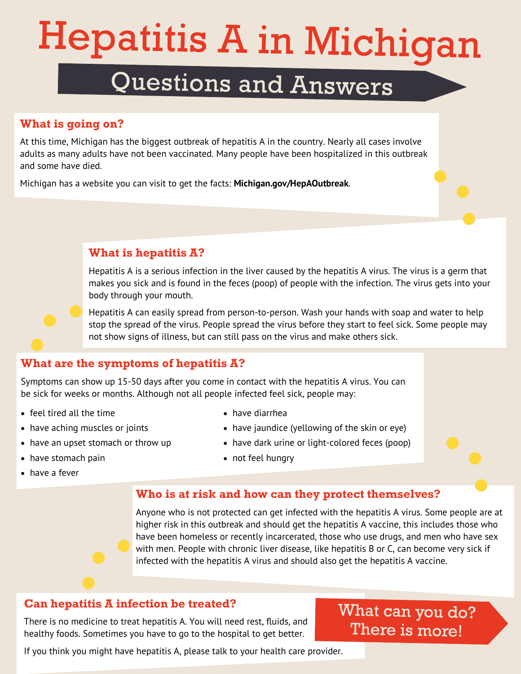# **Hepatitis A in Michigan**

### Questions and Answers

### **What is going on?**

At this time, Michigan has the biggest outbreak of hepatitis A in the country. Nearly all cases involve adults as many adults have not been vaccinated. Many people have been hospitalized in this outbreak and some have died.

Michigan has a website you can visit to get the facts: **[Michigan.gov/HepAOutbreak](http://www.michigan.gov/hepatitisaoutbreak)**.

### **What is hepatitis A?**

Hepatitis A is a serious infection in the liver caused by the hepatitis A virus. The virus is a germ that makes you sick and is found in the feces (poop) of people with the infection. The virus gets into your body through your mouth.

Hepatitis A can easily spread from person-to-person. Wash your hands with soap and water to help stop the spread of the virus. People spread the virus before they start to feel sick. Some people may not show signs of illness, but can still pass on the virus and make others sick.

### **What are the symptoms of hepatitis A?**

Symptoms can show up 15-50 days after you come in contact with the hepatitis A virus. You can be sick for weeks or months. Although not all people infected feel sick, people may:

- $\bullet$  feel tired all the time
- have aching muscles or joints
- have an upset stomach or throw up
- have stomach pain

• have dark urine or light-colored feces (poop) • not feel hungry

have diarrhea

#### have a fever

**Who is at risk and how can they protect themselves?**

Anyone who is not protected can get infected with the hepatitis A virus. Some people are at higher risk in this outbreak and should get the hepatitis A vaccine, this includes those who have been homeless or recently incarcerated, those who use drugs, and men who have sex with men. People with chronic liver disease, like hepatitis B or C, can become very sick if infected with the hepatitis A virus and should also get the hepatitis A vaccine.

• have jaundice (yellowing of the skin or eye)

### **Can hepatitis A infection be treated?**

There is no medicine to treat hepatitis A. You will need rest, fluids, and healthy foods. Sometimes you have to go to the hospital to get better.

### What can you do? There is more!

If you think you might have hepatitis A, please talk to your health care provider.